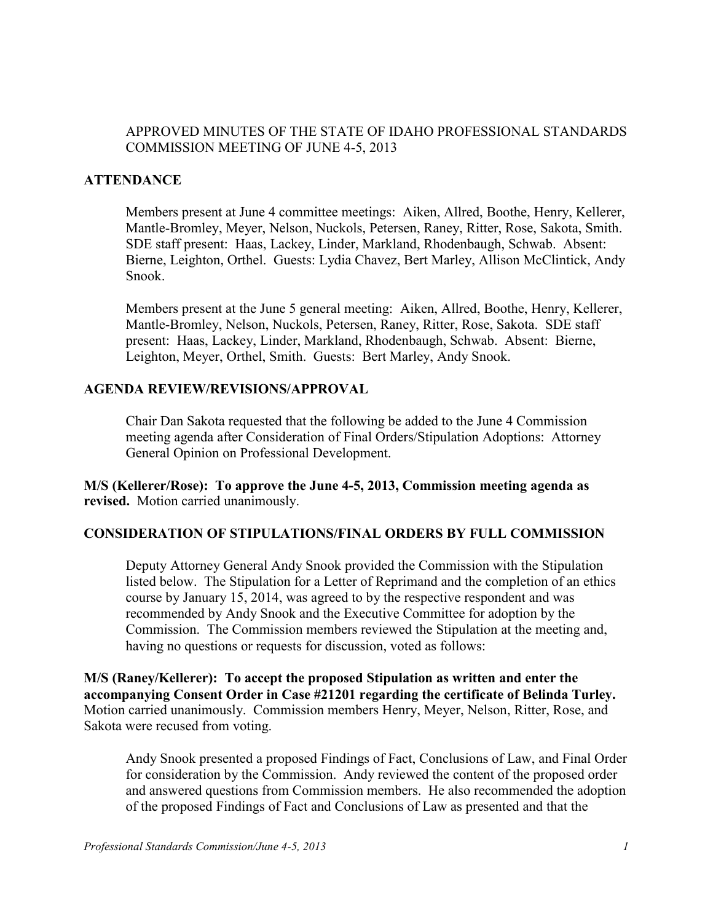### APPROVED MINUTES OF THE STATE OF IDAHO PROFESSIONAL STANDARDS COMMISSION MEETING OF JUNE 4-5, 2013

### **ATTENDANCE**

Members present at June 4 committee meetings: Aiken, Allred, Boothe, Henry, Kellerer, Mantle-Bromley, Meyer, Nelson, Nuckols, Petersen, Raney, Ritter, Rose, Sakota, Smith. SDE staff present: Haas, Lackey, Linder, Markland, Rhodenbaugh, Schwab. Absent: Bierne, Leighton, Orthel. Guests: Lydia Chavez, Bert Marley, Allison McClintick, Andy Snook.

Members present at the June 5 general meeting: Aiken, Allred, Boothe, Henry, Kellerer, Mantle-Bromley, Nelson, Nuckols, Petersen, Raney, Ritter, Rose, Sakota. SDE staff present: Haas, Lackey, Linder, Markland, Rhodenbaugh, Schwab. Absent: Bierne, Leighton, Meyer, Orthel, Smith. Guests: Bert Marley, Andy Snook.

#### **AGENDA REVIEW/REVISIONS/APPROVAL**

Chair Dan Sakota requested that the following be added to the June 4 Commission meeting agenda after Consideration of Final Orders/Stipulation Adoptions: Attorney General Opinion on Professional Development.

**M/S (Kellerer/Rose): To approve the June 4-5, 2013, Commission meeting agenda as revised.** Motion carried unanimously.

#### **CONSIDERATION OF STIPULATIONS/FINAL ORDERS BY FULL COMMISSION**

Deputy Attorney General Andy Snook provided the Commission with the Stipulation listed below. The Stipulation for a Letter of Reprimand and the completion of an ethics course by January 15, 2014, was agreed to by the respective respondent and was recommended by Andy Snook and the Executive Committee for adoption by the Commission. The Commission members reviewed the Stipulation at the meeting and, having no questions or requests for discussion, voted as follows:

**M/S (Raney/Kellerer): To accept the proposed Stipulation as written and enter the accompanying Consent Order in Case #21201 regarding the certificate of Belinda Turley.**  Motion carried unanimously. Commission members Henry, Meyer, Nelson, Ritter, Rose, and Sakota were recused from voting.

Andy Snook presented a proposed Findings of Fact, Conclusions of Law, and Final Order for consideration by the Commission. Andy reviewed the content of the proposed order and answered questions from Commission members. He also recommended the adoption of the proposed Findings of Fact and Conclusions of Law as presented and that the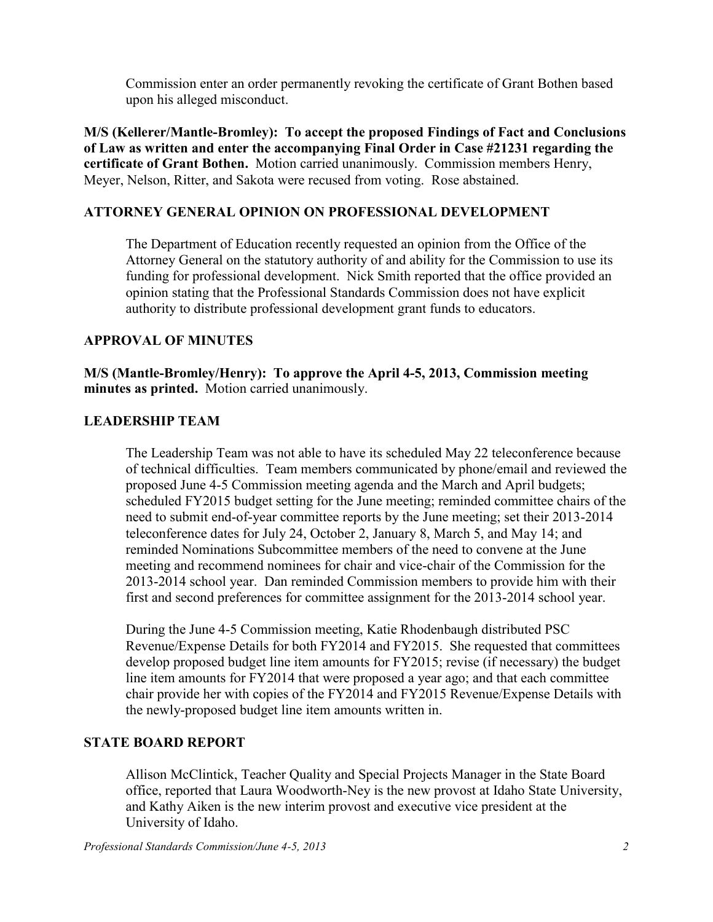Commission enter an order permanently revoking the certificate of Grant Bothen based upon his alleged misconduct.

**M/S (Kellerer/Mantle-Bromley): To accept the proposed Findings of Fact and Conclusions of Law as written and enter the accompanying Final Order in Case #21231 regarding the certificate of Grant Bothen.** Motion carried unanimously. Commission members Henry, Meyer, Nelson, Ritter, and Sakota were recused from voting. Rose abstained.

## **ATTORNEY GENERAL OPINION ON PROFESSIONAL DEVELOPMENT**

The Department of Education recently requested an opinion from the Office of the Attorney General on the statutory authority of and ability for the Commission to use its funding for professional development. Nick Smith reported that the office provided an opinion stating that the Professional Standards Commission does not have explicit authority to distribute professional development grant funds to educators.

## **APPROVAL OF MINUTES**

**M/S (Mantle-Bromley/Henry): To approve the April 4-5, 2013, Commission meeting minutes as printed.** Motion carried unanimously.

### **LEADERSHIP TEAM**

The Leadership Team was not able to have its scheduled May 22 teleconference because of technical difficulties. Team members communicated by phone/email and reviewed the proposed June 4-5 Commission meeting agenda and the March and April budgets; scheduled FY2015 budget setting for the June meeting; reminded committee chairs of the need to submit end-of-year committee reports by the June meeting; set their 2013-2014 teleconference dates for July 24, October 2, January 8, March 5, and May 14; and reminded Nominations Subcommittee members of the need to convene at the June meeting and recommend nominees for chair and vice-chair of the Commission for the 2013-2014 school year. Dan reminded Commission members to provide him with their first and second preferences for committee assignment for the 2013-2014 school year.

During the June 4-5 Commission meeting, Katie Rhodenbaugh distributed PSC Revenue/Expense Details for both FY2014 and FY2015. She requested that committees develop proposed budget line item amounts for FY2015; revise (if necessary) the budget line item amounts for FY2014 that were proposed a year ago; and that each committee chair provide her with copies of the FY2014 and FY2015 Revenue/Expense Details with the newly-proposed budget line item amounts written in.

# **STATE BOARD REPORT**

Allison McClintick, Teacher Quality and Special Projects Manager in the State Board office, reported that Laura Woodworth-Ney is the new provost at Idaho State University, and Kathy Aiken is the new interim provost and executive vice president at the University of Idaho.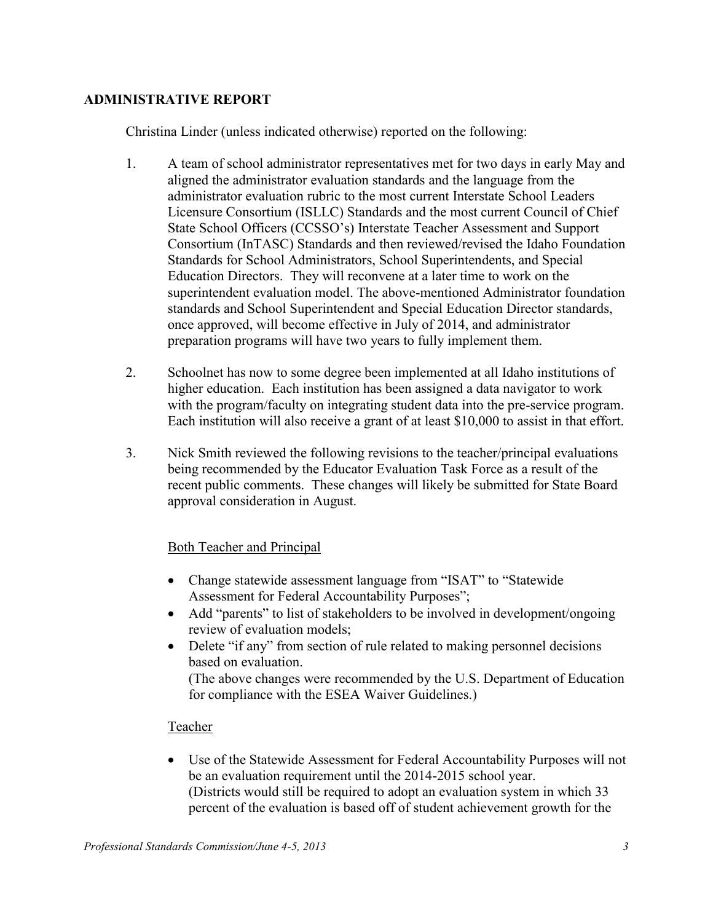### **ADMINISTRATIVE REPORT**

Christina Linder (unless indicated otherwise) reported on the following:

- 1. A team of school administrator representatives met for two days in early May and aligned the administrator evaluation standards and the language from the administrator evaluation rubric to the most current Interstate School Leaders Licensure Consortium (ISLLC) Standards and the most current Council of Chief State School Officers (CCSSO's) Interstate Teacher Assessment and Support Consortium (InTASC) Standards and then reviewed/revised the Idaho Foundation Standards for School Administrators, School Superintendents, and Special Education Directors. They will reconvene at a later time to work on the superintendent evaluation model. The above-mentioned Administrator foundation standards and School Superintendent and Special Education Director standards, once approved, will become effective in July of 2014, and administrator preparation programs will have two years to fully implement them.
- 2. Schoolnet has now to some degree been implemented at all Idaho institutions of higher education. Each institution has been assigned a data navigator to work with the program/faculty on integrating student data into the pre-service program. Each institution will also receive a grant of at least \$10,000 to assist in that effort.
- 3. Nick Smith reviewed the following revisions to the teacher/principal evaluations being recommended by the Educator Evaluation Task Force as a result of the recent public comments. These changes will likely be submitted for State Board approval consideration in August.

### Both Teacher and Principal

- Change statewide assessment language from "ISAT" to "Statewide Assessment for Federal Accountability Purposes";
- Add "parents" to list of stakeholders to be involved in development/ongoing review of evaluation models;
- Delete "if any" from section of rule related to making personnel decisions based on evaluation. (The above changes were recommended by the U.S. Department of Education for compliance with the ESEA Waiver Guidelines.)

# Teacher

 Use of the Statewide Assessment for Federal Accountability Purposes will not be an evaluation requirement until the 2014-2015 school year. (Districts would still be required to adopt an evaluation system in which 33 percent of the evaluation is based off of student achievement growth for the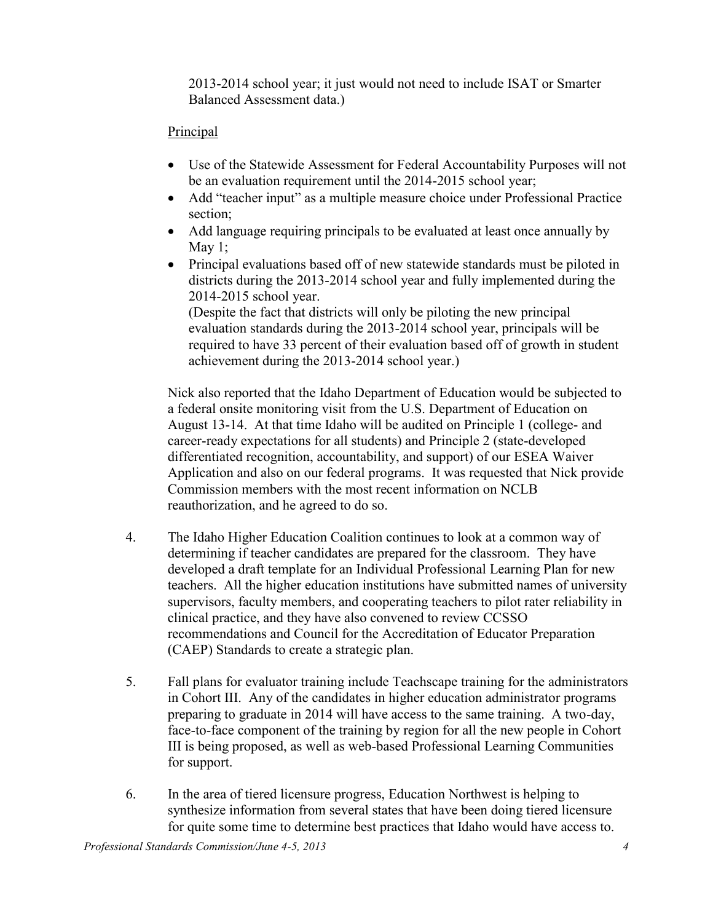2013-2014 school year; it just would not need to include ISAT or Smarter Balanced Assessment data.)

## **Principal**

- Use of the Statewide Assessment for Federal Accountability Purposes will not be an evaluation requirement until the 2014-2015 school year;
- Add "teacher input" as a multiple measure choice under Professional Practice section;
- Add language requiring principals to be evaluated at least once annually by May  $1$ ;
- Principal evaluations based off of new statewide standards must be piloted in districts during the 2013-2014 school year and fully implemented during the 2014-2015 school year.

(Despite the fact that districts will only be piloting the new principal evaluation standards during the 2013-2014 school year, principals will be required to have 33 percent of their evaluation based off of growth in student achievement during the 2013-2014 school year.)

Nick also reported that the Idaho Department of Education would be subjected to a federal onsite monitoring visit from the U.S. Department of Education on August 13-14. At that time Idaho will be audited on Principle 1 (college- and career-ready expectations for all students) and Principle 2 (state-developed differentiated recognition, accountability, and support) of our ESEA Waiver Application and also on our federal programs. It was requested that Nick provide Commission members with the most recent information on NCLB reauthorization, and he agreed to do so.

- 4. The Idaho Higher Education Coalition continues to look at a common way of determining if teacher candidates are prepared for the classroom. They have developed a draft template for an Individual Professional Learning Plan for new teachers. All the higher education institutions have submitted names of university supervisors, faculty members, and cooperating teachers to pilot rater reliability in clinical practice, and they have also convened to review CCSSO recommendations and Council for the Accreditation of Educator Preparation (CAEP) Standards to create a strategic plan.
- 5. Fall plans for evaluator training include Teachscape training for the administrators in Cohort III. Any of the candidates in higher education administrator programs preparing to graduate in 2014 will have access to the same training. A two-day, face-to-face component of the training by region for all the new people in Cohort III is being proposed, as well as web-based Professional Learning Communities for support.
- 6. In the area of tiered licensure progress, Education Northwest is helping to synthesize information from several states that have been doing tiered licensure for quite some time to determine best practices that Idaho would have access to.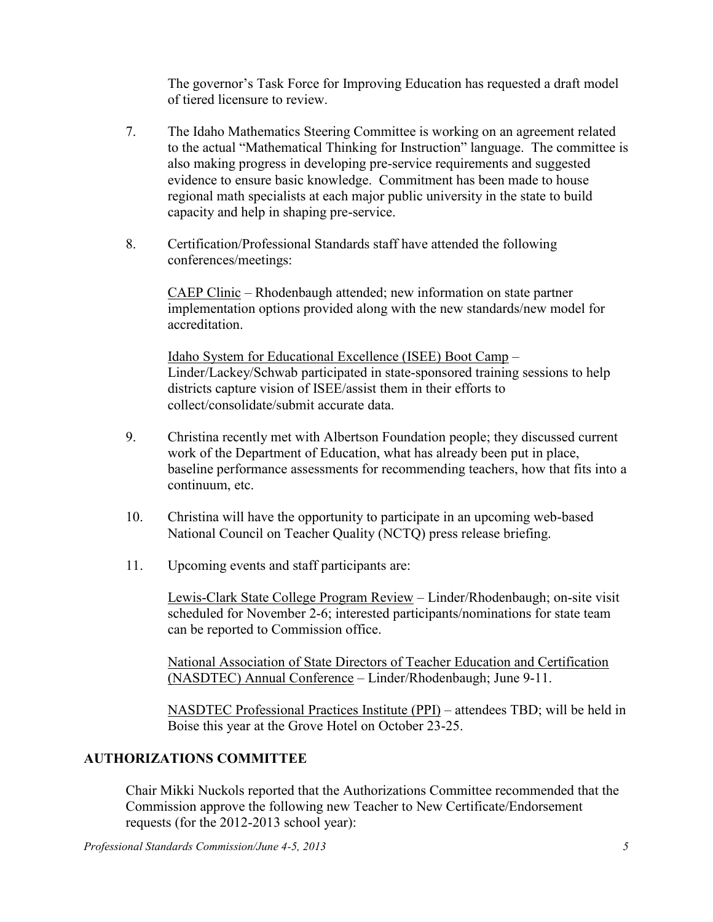The governor's Task Force for Improving Education has requested a draft model of tiered licensure to review.

- 7. The Idaho Mathematics Steering Committee is working on an agreement related to the actual "Mathematical Thinking for Instruction" language. The committee is also making progress in developing pre-service requirements and suggested evidence to ensure basic knowledge. Commitment has been made to house regional math specialists at each major public university in the state to build capacity and help in shaping pre-service.
- 8. Certification/Professional Standards staff have attended the following conferences/meetings:

CAEP Clinic – Rhodenbaugh attended; new information on state partner implementation options provided along with the new standards/new model for accreditation.

Idaho System for Educational Excellence (ISEE) Boot Camp – Linder/Lackey/Schwab participated in state-sponsored training sessions to help districts capture vision of ISEE/assist them in their efforts to collect/consolidate/submit accurate data.

- 9. Christina recently met with Albertson Foundation people; they discussed current work of the Department of Education, what has already been put in place, baseline performance assessments for recommending teachers, how that fits into a continuum, etc.
- 10. Christina will have the opportunity to participate in an upcoming web-based National Council on Teacher Quality (NCTQ) press release briefing.
- 11. Upcoming events and staff participants are:

Lewis-Clark State College Program Review – Linder/Rhodenbaugh; on-site visit scheduled for November 2-6; interested participants/nominations for state team can be reported to Commission office.

National Association of State Directors of Teacher Education and Certification (NASDTEC) Annual Conference – Linder/Rhodenbaugh; June 9-11.

NASDTEC Professional Practices Institute (PPI) – attendees TBD; will be held in Boise this year at the Grove Hotel on October 23-25.

# **AUTHORIZATIONS COMMITTEE**

Chair Mikki Nuckols reported that the Authorizations Committee recommended that the Commission approve the following new Teacher to New Certificate/Endorsement requests (for the 2012-2013 school year):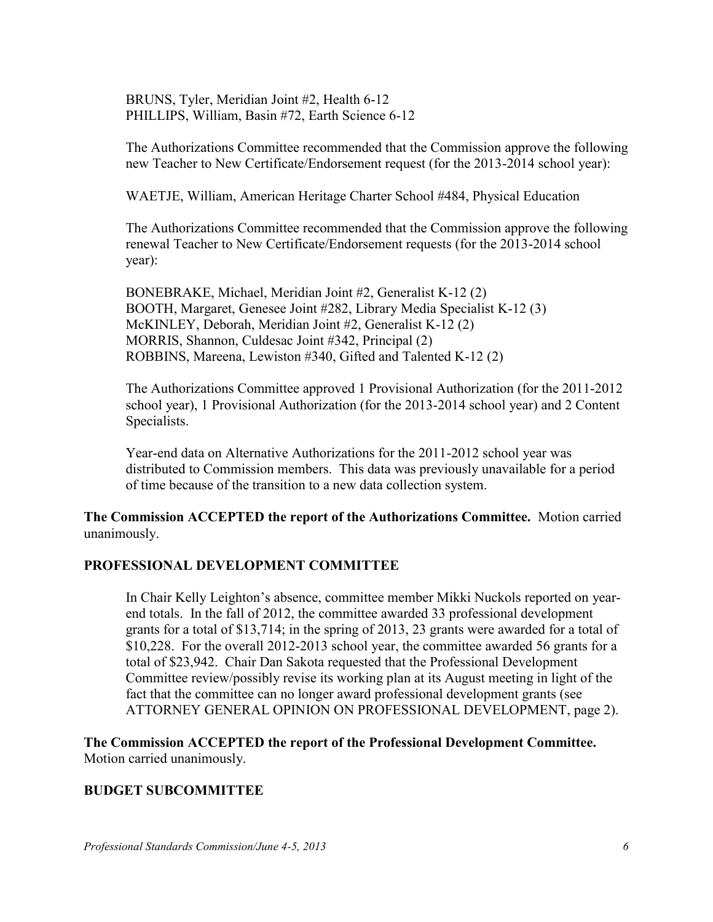BRUNS, Tyler, Meridian Joint #2, Health 6-12 PHILLIPS, William, Basin #72, Earth Science 6-12

The Authorizations Committee recommended that the Commission approve the following new Teacher to New Certificate/Endorsement request (for the 2013-2014 school year):

WAETJE, William, American Heritage Charter School #484, Physical Education

The Authorizations Committee recommended that the Commission approve the following renewal Teacher to New Certificate/Endorsement requests (for the 2013-2014 school year):

BONEBRAKE, Michael, Meridian Joint #2, Generalist K-12 (2) BOOTH, Margaret, Genesee Joint #282, Library Media Specialist K-12 (3) McKINLEY, Deborah, Meridian Joint #2, Generalist K-12 (2) MORRIS, Shannon, Culdesac Joint #342, Principal (2) ROBBINS, Mareena, Lewiston #340, Gifted and Talented K-12 (2)

The Authorizations Committee approved 1 Provisional Authorization (for the 2011-2012 school year), 1 Provisional Authorization (for the 2013-2014 school year) and 2 Content Specialists.

Year-end data on Alternative Authorizations for the 2011-2012 school year was distributed to Commission members. This data was previously unavailable for a period of time because of the transition to a new data collection system.

**The Commission ACCEPTED the report of the Authorizations Committee.** Motion carried unanimously.

### **PROFESSIONAL DEVELOPMENT COMMITTEE**

In Chair Kelly Leighton's absence, committee member Mikki Nuckols reported on yearend totals. In the fall of 2012, the committee awarded 33 professional development grants for a total of \$13,714; in the spring of 2013, 23 grants were awarded for a total of \$10,228. For the overall 2012-2013 school year, the committee awarded 56 grants for a total of \$23,942. Chair Dan Sakota requested that the Professional Development Committee review/possibly revise its working plan at its August meeting in light of the fact that the committee can no longer award professional development grants (see ATTORNEY GENERAL OPINION ON PROFESSIONAL DEVELOPMENT, page 2).

**The Commission ACCEPTED the report of the Professional Development Committee.**  Motion carried unanimously.

### **BUDGET SUBCOMMITTEE**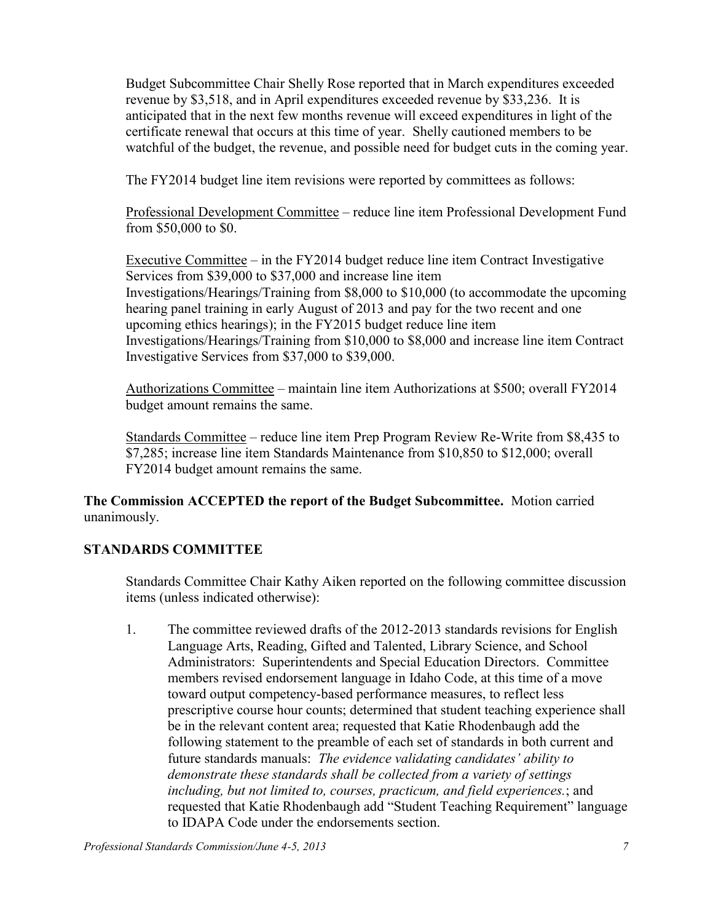Budget Subcommittee Chair Shelly Rose reported that in March expenditures exceeded revenue by \$3,518, and in April expenditures exceeded revenue by \$33,236. It is anticipated that in the next few months revenue will exceed expenditures in light of the certificate renewal that occurs at this time of year. Shelly cautioned members to be watchful of the budget, the revenue, and possible need for budget cuts in the coming year.

The FY2014 budget line item revisions were reported by committees as follows:

Professional Development Committee – reduce line item Professional Development Fund from \$50,000 to \$0.

Executive Committee – in the FY2014 budget reduce line item Contract Investigative Services from \$39,000 to \$37,000 and increase line item Investigations/Hearings/Training from \$8,000 to \$10,000 (to accommodate the upcoming hearing panel training in early August of 2013 and pay for the two recent and one upcoming ethics hearings); in the FY2015 budget reduce line item Investigations/Hearings/Training from \$10,000 to \$8,000 and increase line item Contract Investigative Services from \$37,000 to \$39,000.

Authorizations Committee – maintain line item Authorizations at \$500; overall FY2014 budget amount remains the same.

Standards Committee – reduce line item Prep Program Review Re-Write from \$8,435 to \$7,285; increase line item Standards Maintenance from \$10,850 to \$12,000; overall FY2014 budget amount remains the same.

**The Commission ACCEPTED the report of the Budget Subcommittee.** Motion carried unanimously.

# **STANDARDS COMMITTEE**

Standards Committee Chair Kathy Aiken reported on the following committee discussion items (unless indicated otherwise):

1. The committee reviewed drafts of the 2012-2013 standards revisions for English Language Arts, Reading, Gifted and Talented, Library Science, and School Administrators: Superintendents and Special Education Directors. Committee members revised endorsement language in Idaho Code, at this time of a move toward output competency-based performance measures, to reflect less prescriptive course hour counts; determined that student teaching experience shall be in the relevant content area; requested that Katie Rhodenbaugh add the following statement to the preamble of each set of standards in both current and future standards manuals: *The evidence validating candidates' ability to demonstrate these standards shall be collected from a variety of settings including, but not limited to, courses, practicum, and field experiences.*; and requested that Katie Rhodenbaugh add "Student Teaching Requirement" language to IDAPA Code under the endorsements section.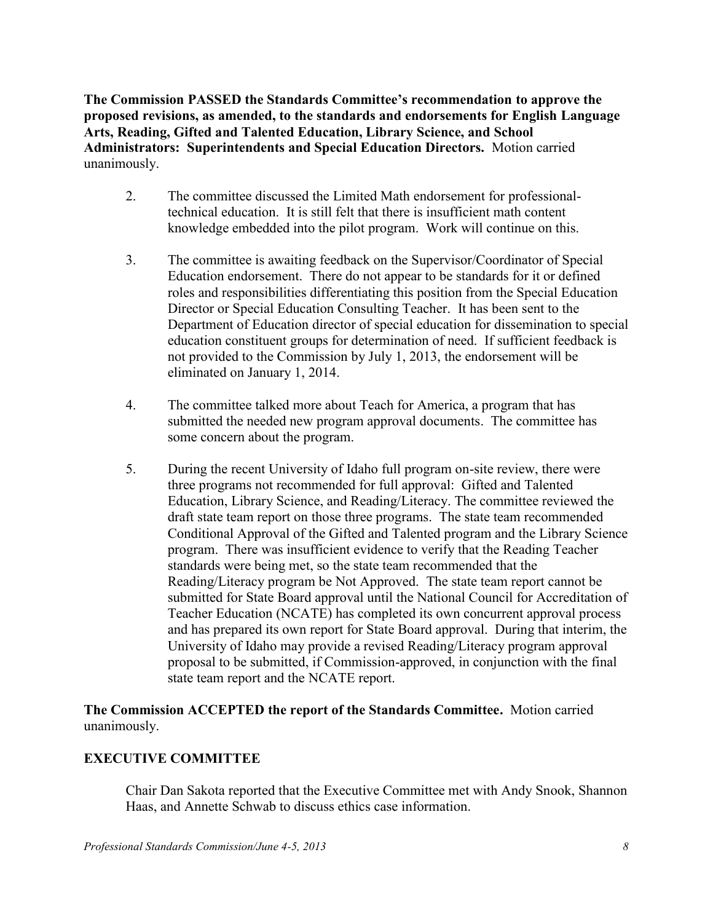**The Commission PASSED the Standards Committee's recommendation to approve the proposed revisions, as amended, to the standards and endorsements for English Language Arts, Reading, Gifted and Talented Education, Library Science, and School Administrators: Superintendents and Special Education Directors.** Motion carried unanimously.

- 2. The committee discussed the Limited Math endorsement for professionaltechnical education. It is still felt that there is insufficient math content knowledge embedded into the pilot program. Work will continue on this.
- 3. The committee is awaiting feedback on the Supervisor/Coordinator of Special Education endorsement. There do not appear to be standards for it or defined roles and responsibilities differentiating this position from the Special Education Director or Special Education Consulting Teacher. It has been sent to the Department of Education director of special education for dissemination to special education constituent groups for determination of need. If sufficient feedback is not provided to the Commission by July 1, 2013, the endorsement will be eliminated on January 1, 2014.
- 4. The committee talked more about Teach for America, a program that has submitted the needed new program approval documents. The committee has some concern about the program.
- 5. During the recent University of Idaho full program on-site review, there were three programs not recommended for full approval: Gifted and Talented Education, Library Science, and Reading/Literacy. The committee reviewed the draft state team report on those three programs. The state team recommended Conditional Approval of the Gifted and Talented program and the Library Science program. There was insufficient evidence to verify that the Reading Teacher standards were being met, so the state team recommended that the Reading/Literacy program be Not Approved. The state team report cannot be submitted for State Board approval until the National Council for Accreditation of Teacher Education (NCATE) has completed its own concurrent approval process and has prepared its own report for State Board approval. During that interim, the University of Idaho may provide a revised Reading/Literacy program approval proposal to be submitted, if Commission-approved, in conjunction with the final state team report and the NCATE report.

### **The Commission ACCEPTED the report of the Standards Committee.** Motion carried unanimously.

# **EXECUTIVE COMMITTEE**

Chair Dan Sakota reported that the Executive Committee met with Andy Snook, Shannon Haas, and Annette Schwab to discuss ethics case information.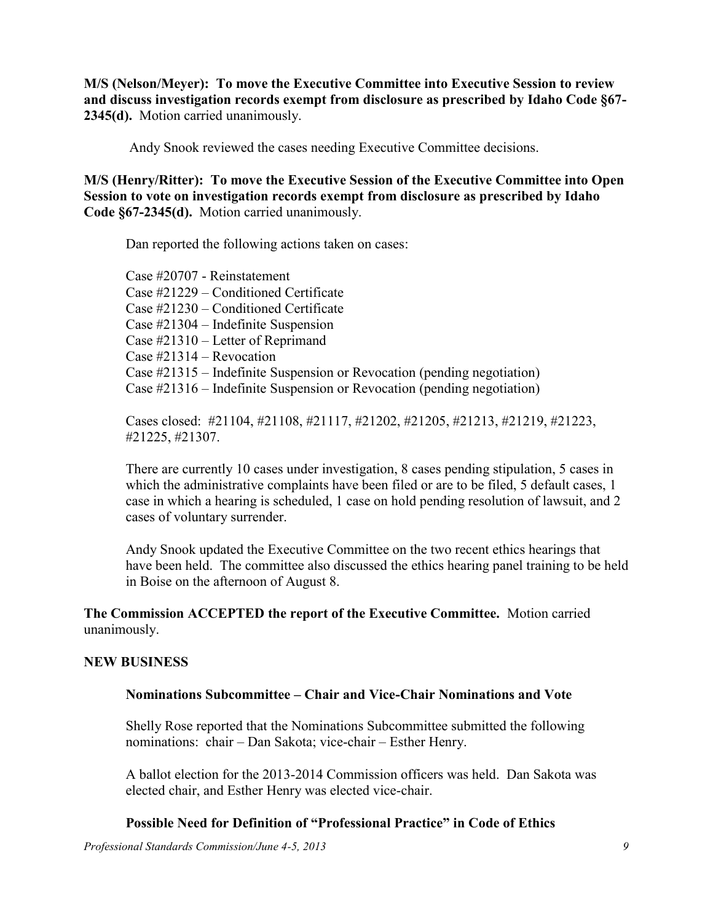**M/S (Nelson/Meyer): To move the Executive Committee into Executive Session to review and discuss investigation records exempt from disclosure as prescribed by Idaho Code §67- 2345(d).** Motion carried unanimously.

Andy Snook reviewed the cases needing Executive Committee decisions.

**M/S (Henry/Ritter): To move the Executive Session of the Executive Committee into Open Session to vote on investigation records exempt from disclosure as prescribed by Idaho Code §67-2345(d).** Motion carried unanimously.

Dan reported the following actions taken on cases:

Case #20707 - Reinstatement Case #21229 – Conditioned Certificate Case #21230 – Conditioned Certificate Case #21304 – Indefinite Suspension Case #21310 – Letter of Reprimand Case #21314 – Revocation Case #21315 – Indefinite Suspension or Revocation (pending negotiation) Case #21316 – Indefinite Suspension or Revocation (pending negotiation)

Cases closed: #21104, #21108, #21117, #21202, #21205, #21213, #21219, #21223, #21225, #21307.

There are currently 10 cases under investigation, 8 cases pending stipulation, 5 cases in which the administrative complaints have been filed or are to be filed, 5 default cases, 1 case in which a hearing is scheduled, 1 case on hold pending resolution of lawsuit, and 2 cases of voluntary surrender.

Andy Snook updated the Executive Committee on the two recent ethics hearings that have been held. The committee also discussed the ethics hearing panel training to be held in Boise on the afternoon of August 8.

### **The Commission ACCEPTED the report of the Executive Committee.** Motion carried unanimously.

#### **NEW BUSINESS**

#### **Nominations Subcommittee – Chair and Vice-Chair Nominations and Vote**

Shelly Rose reported that the Nominations Subcommittee submitted the following nominations: chair – Dan Sakota; vice-chair – Esther Henry.

A ballot election for the 2013-2014 Commission officers was held. Dan Sakota was elected chair, and Esther Henry was elected vice-chair.

#### **Possible Need for Definition of "Professional Practice" in Code of Ethics**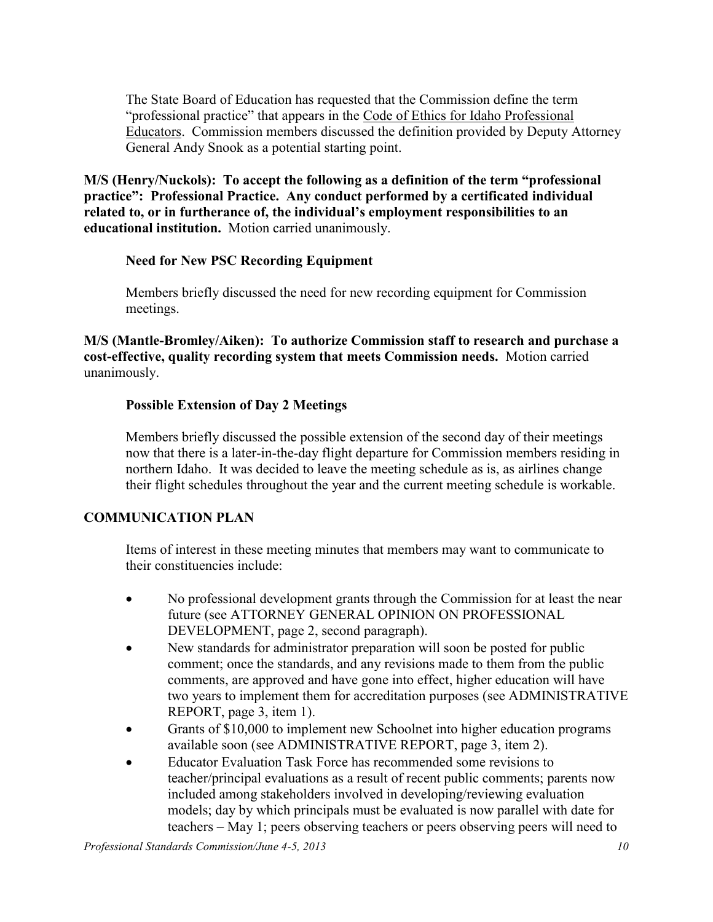The State Board of Education has requested that the Commission define the term "professional practice" that appears in the Code of Ethics for Idaho Professional Educators. Commission members discussed the definition provided by Deputy Attorney General Andy Snook as a potential starting point.

**M/S (Henry/Nuckols): To accept the following as a definition of the term "professional practice": Professional Practice. Any conduct performed by a certificated individual related to, or in furtherance of, the individual's employment responsibilities to an educational institution.** Motion carried unanimously.

### **Need for New PSC Recording Equipment**

Members briefly discussed the need for new recording equipment for Commission meetings.

**M/S (Mantle-Bromley/Aiken): To authorize Commission staff to research and purchase a cost-effective, quality recording system that meets Commission needs.** Motion carried unanimously.

### **Possible Extension of Day 2 Meetings**

Members briefly discussed the possible extension of the second day of their meetings now that there is a later-in-the-day flight departure for Commission members residing in northern Idaho. It was decided to leave the meeting schedule as is, as airlines change their flight schedules throughout the year and the current meeting schedule is workable.

### **COMMUNICATION PLAN**

Items of interest in these meeting minutes that members may want to communicate to their constituencies include:

- No professional development grants through the Commission for at least the near future (see ATTORNEY GENERAL OPINION ON PROFESSIONAL DEVELOPMENT, page 2, second paragraph).
- New standards for administrator preparation will soon be posted for public comment; once the standards, and any revisions made to them from the public comments, are approved and have gone into effect, higher education will have two years to implement them for accreditation purposes (see ADMINISTRATIVE REPORT, page 3, item 1).
- Grants of \$10,000 to implement new Schoolnet into higher education programs available soon (see ADMINISTRATIVE REPORT, page 3, item 2).
- Educator Evaluation Task Force has recommended some revisions to teacher/principal evaluations as a result of recent public comments; parents now included among stakeholders involved in developing/reviewing evaluation models; day by which principals must be evaluated is now parallel with date for teachers – May 1; peers observing teachers or peers observing peers will need to